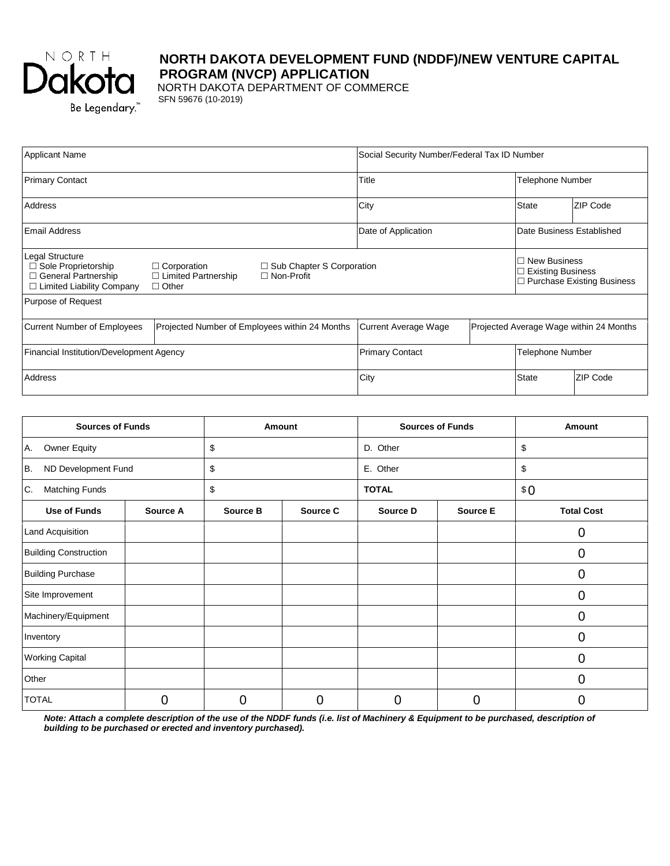

# **NORTH DAKOTA DEVELOPMENT FUND (NDDF)/NEW VENTURE CAPITAL PROGRAM (NVCP) APPLICATION**

 NORTH DAKOTA DEPARTMENT OF COMMERCE SFN 59676 (10-2019)

| <b>Applicant Name</b>                                                                                                                                                                                                              |                                                |  | Social Security Number/Federal Tax ID Number |                                         |                                                                                           |                           |
|------------------------------------------------------------------------------------------------------------------------------------------------------------------------------------------------------------------------------------|------------------------------------------------|--|----------------------------------------------|-----------------------------------------|-------------------------------------------------------------------------------------------|---------------------------|
| <b>Primary Contact</b>                                                                                                                                                                                                             |                                                |  | Title                                        |                                         | Telephone Number                                                                          |                           |
| Address                                                                                                                                                                                                                            |                                                |  | City                                         |                                         | <b>State</b>                                                                              | ZIP Code                  |
| Email Address                                                                                                                                                                                                                      |                                                |  | Date of Application                          |                                         |                                                                                           | Date Business Established |
| Legal Structure<br>□ Sole Proprietorship<br>$\Box$ Corporation<br>$\Box$ Sub Chapter S Corporation<br>□ General Partnership<br>$\Box$ Limited Partnership<br>$\Box$ Non-Profit<br>$\Box$ Limited Liability Company<br>$\Box$ Other |                                                |  |                                              |                                         | $\Box$ New Business<br><b>Existing Business</b><br>П<br>$\Box$ Purchase Existing Business |                           |
| Purpose of Request                                                                                                                                                                                                                 |                                                |  |                                              |                                         |                                                                                           |                           |
| <b>Current Number of Employees</b>                                                                                                                                                                                                 | Projected Number of Employees within 24 Months |  | Current Average Wage                         | Projected Average Wage within 24 Months |                                                                                           |                           |
| Financial Institution/Development Agency                                                                                                                                                                                           |                                                |  | <b>Primary Contact</b><br>Telephone Number   |                                         |                                                                                           |                           |
| Address                                                                                                                                                                                                                            |                                                |  | City                                         |                                         | <b>State</b>                                                                              | ZIP Code                  |

| <b>Sources of Funds</b>      |          | Amount   |          | <b>Sources of Funds</b> |          | Amount            |  |
|------------------------------|----------|----------|----------|-------------------------|----------|-------------------|--|
| <b>Owner Equity</b><br>Α.    |          | \$       |          | D. Other                |          | \$                |  |
| ND Development Fund<br>В.    |          | \$       |          |                         |          | \$                |  |
| Matching Funds<br>С.         |          | \$       |          | <b>TOTAL</b>            |          | \$0               |  |
| <b>Use of Funds</b>          | Source A | Source B | Source C | Source D                | Source E | <b>Total Cost</b> |  |
| Land Acquisition             |          |          |          |                         |          | 0                 |  |
| <b>Building Construction</b> |          |          |          |                         |          | 0                 |  |
| <b>Building Purchase</b>     |          |          |          |                         |          | $\overline{0}$    |  |
| Site Improvement             |          |          |          |                         |          | $\overline{0}$    |  |
| Machinery/Equipment          |          |          |          |                         |          | 0                 |  |
| Inventory                    |          |          |          |                         |          | $\overline{0}$    |  |
| <b>Working Capital</b>       |          |          |          |                         |          | $\overline{0}$    |  |
| Other                        |          |          |          |                         |          | 0                 |  |
| <b>TOTAL</b>                 | 0        | 0        | 0        |                         | 0        | 0                 |  |

*Note: Attach a complete description of the use of the NDDF funds (i.e. list of Machinery & Equipment to be purchased, description of building to be purchased or erected and inventory purchased).*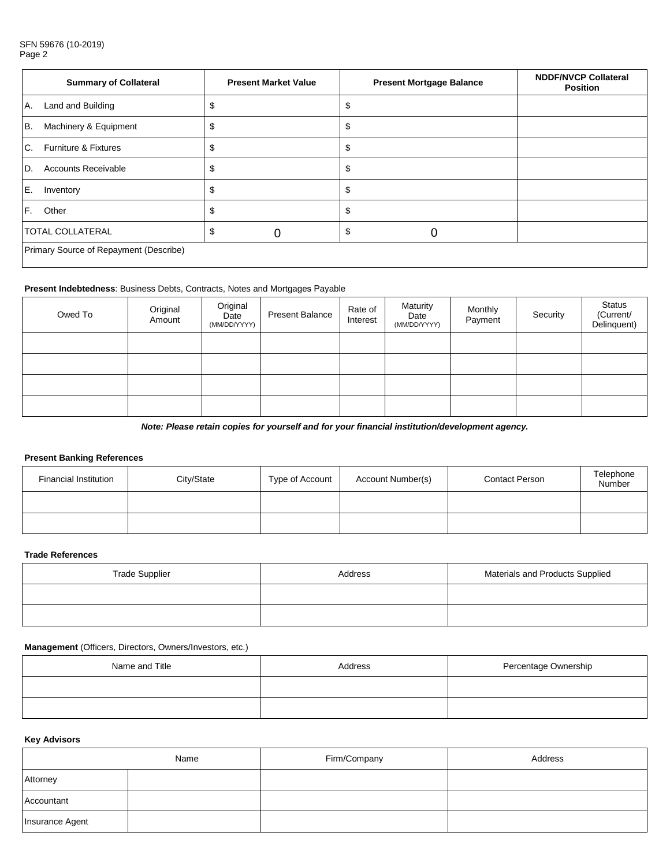#### SFN 59676 (10-2019) Page 2

|    | <b>Summary of Collateral</b>           | <b>Present Market Value</b> |  | <b>Present Mortgage Balance</b> |    | <b>NDDF/NVCP Collateral</b><br><b>Position</b> |  |
|----|----------------------------------------|-----------------------------|--|---------------------------------|----|------------------------------------------------|--|
| Α. | Land and Building                      |                             |  |                                 | S  |                                                |  |
| B. | Machinery & Equipment                  |                             |  |                                 | S  |                                                |  |
| C. | <b>Furniture &amp; Fixtures</b>        |                             |  |                                 | S  |                                                |  |
| D. | <b>Accounts Receivable</b>             |                             |  |                                 | \$ |                                                |  |
| Ε. | Inventory                              |                             |  |                                 | \$ |                                                |  |
| F. | Other                                  |                             |  |                                 | \$ |                                                |  |
|    | <b>TOTAL COLLATERAL</b>                |                             |  |                                 | \$ |                                                |  |
|    | Primary Source of Repayment (Describe) |                             |  |                                 |    |                                                |  |

#### **Present Indebtedness**: Business Debts, Contracts, Notes and Mortgages Payable

| Owed To | Original<br>Amount | Original<br>Date<br>(MM/DD/YYYY) | <b>Present Balance</b> | Rate of<br>Interest | Maturity<br>Date<br>(MM/DD/YYYY) | Monthly<br>Payment | Security | Status<br>(Current/<br>Delinquent) |
|---------|--------------------|----------------------------------|------------------------|---------------------|----------------------------------|--------------------|----------|------------------------------------|
|         |                    |                                  |                        |                     |                                  |                    |          |                                    |
|         |                    |                                  |                        |                     |                                  |                    |          |                                    |
|         |                    |                                  |                        |                     |                                  |                    |          |                                    |
|         |                    |                                  |                        |                     |                                  |                    |          |                                    |

*Note: Please retain copies for yourself and for your financial institution/development agency.*

## **Present Banking References**

| <b>Financial Institution</b> | City/State | Type of Account | Account Number(s) | <b>Contact Person</b> | Telephone<br>Number |
|------------------------------|------------|-----------------|-------------------|-----------------------|---------------------|
|                              |            |                 |                   |                       |                     |
|                              |            |                 |                   |                       |                     |

#### **Trade References**

| <b>Trade Supplier</b> | Address | Materials and Products Supplied |  |
|-----------------------|---------|---------------------------------|--|
|                       |         |                                 |  |
|                       |         |                                 |  |

#### **Management** (Officers, Directors, Owners/Investors, etc.)

| Name and Title | Address | Percentage Ownership |  |  |
|----------------|---------|----------------------|--|--|
|                |         |                      |  |  |
|                |         |                      |  |  |

## **Key Advisors**

|                 | Name | Firm/Company | Address |
|-----------------|------|--------------|---------|
| Attorney        |      |              |         |
| Accountant      |      |              |         |
| Insurance Agent |      |              |         |